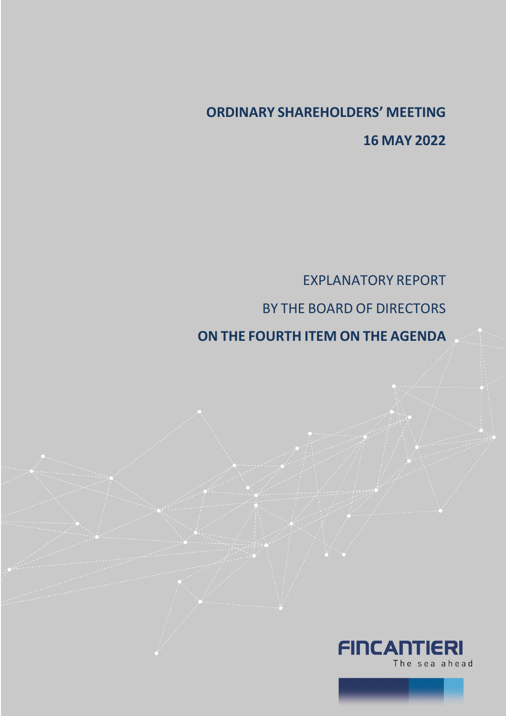# **ORDINARY SHAREHOLDERS' MEETING 16 MAY 2022**

EXPLANATORY REPORT BY THE BOARD OF DIRECTORS

**ON THE FOURTH ITEM ON THE AGENDA**



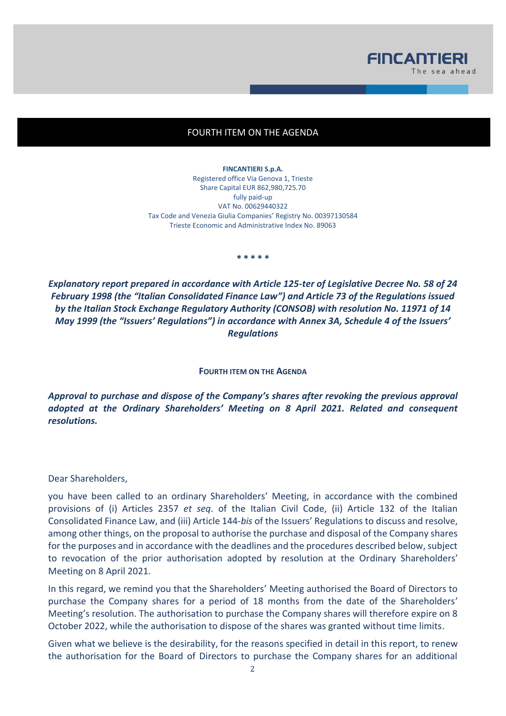

# FOURTH ITEM ON THE AGENDA

**FINCANTIERI S.p.A.** Registered office Via Genova 1, Trieste Share Capital EUR 862,980,725.70 fully paid-up VAT No. 00629440322 Tax Code and Venezia Giulia Companies' Registry No. 00397130584 Trieste Economic and Administrative Index No. 89063

**\* \* \* \* \***

*Explanatory report prepared in accordance with Article 125-ter of Legislative Decree No. 58 of 24 February 1998 (the "Italian Consolidated Finance Law") and Article 73 of the Regulations issued by the Italian Stock Exchange Regulatory Authority (CONSOB) with resolution No. 11971 of 14 May 1999 (the "Issuers' Regulations") in accordance with Annex 3A, Schedule 4 of the Issuers' Regulations*

#### **FOURTH ITEM ON THE AGENDA**

*Approval to purchase and dispose of the Company's shares after revoking the previous approval adopted at the Ordinary Shareholders' Meeting on 8 April 2021. Related and consequent resolutions.* 

## Dear Shareholders,

you have been called to an ordinary Shareholders' Meeting, in accordance with the combined provisions of (i) Articles 2357 *et seq*. of the Italian Civil Code, (ii) Article 132 of the Italian Consolidated Finance Law, and (iii) Article 144-*bis* of the Issuers' Regulations to discuss and resolve, among other things, on the proposal to authorise the purchase and disposal of the Company shares for the purposes and in accordance with the deadlines and the procedures described below, subject to revocation of the prior authorisation adopted by resolution at the Ordinary Shareholders' Meeting on 8 April 2021.

In this regard, we remind you that the Shareholders' Meeting authorised the Board of Directors to purchase the Company shares for a period of 18 months from the date of the Shareholders' Meeting's resolution. The authorisation to purchase the Company shares will therefore expire on 8 October 2022, while the authorisation to dispose of the shares was granted without time limits.

Given what we believe is the desirability, for the reasons specified in detail in this report, to renew the authorisation for the Board of Directors to purchase the Company shares for an additional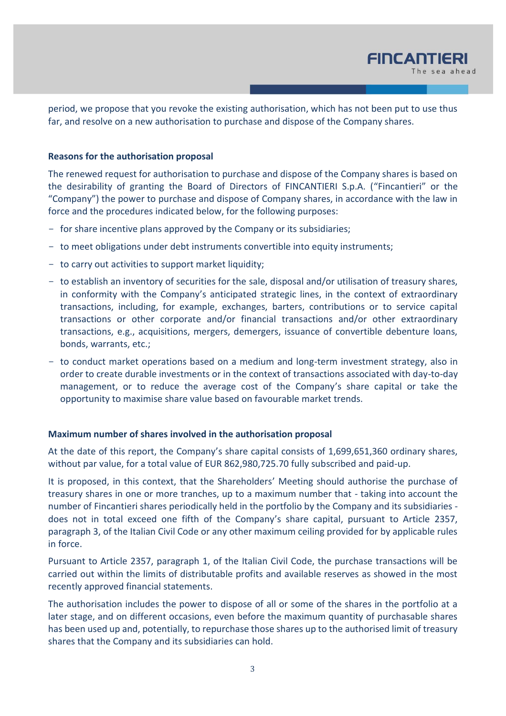

period, we propose that you revoke the existing authorisation, which has not been put to use thus far, and resolve on a new authorisation to purchase and dispose of the Company shares.

# **Reasons for the authorisation proposal**

The renewed request for authorisation to purchase and dispose of the Company shares is based on the desirability of granting the Board of Directors of FINCANTIERI S.p.A. ("Fincantieri" or the "Company") the power to purchase and dispose of Company shares, in accordance with the law in force and the procedures indicated below, for the following purposes:

- for share incentive plans approved by the Company or its subsidiaries;
- to meet obligations under debt instruments convertible into equity instruments;
- to carry out activities to support market liquidity;
- to establish an inventory of securities for the sale, disposal and/or utilisation of treasury shares, in conformity with the Company's anticipated strategic lines, in the context of extraordinary transactions, including, for example, exchanges, barters, contributions or to service capital transactions or other corporate and/or financial transactions and/or other extraordinary transactions, e.g., acquisitions, mergers, demergers, issuance of convertible debenture loans, bonds, warrants, etc.;
- to conduct market operations based on a medium and long-term investment strategy, also in order to create durable investments or in the context of transactions associated with day-to-day management, or to reduce the average cost of the Company's share capital or take the opportunity to maximise share value based on favourable market trends.

## **Maximum number of shares involved in the authorisation proposal**

At the date of this report, the Company's share capital consists of 1,699,651,360 ordinary shares, without par value, for a total value of EUR 862,980,725.70 fully subscribed and paid-up.

It is proposed, in this context, that the Shareholders' Meeting should authorise the purchase of treasury shares in one or more tranches, up to a maximum number that - taking into account the number of Fincantieri shares periodically held in the portfolio by the Company and its subsidiaries does not in total exceed one fifth of the Company's share capital, pursuant to Article 2357, paragraph 3, of the Italian Civil Code or any other maximum ceiling provided for by applicable rules in force.

Pursuant to Article 2357, paragraph 1, of the Italian Civil Code, the purchase transactions will be carried out within the limits of distributable profits and available reserves as showed in the most recently approved financial statements.

The authorisation includes the power to dispose of all or some of the shares in the portfolio at a later stage, and on different occasions, even before the maximum quantity of purchasable shares has been used up and, potentially, to repurchase those shares up to the authorised limit of treasury shares that the Company and its subsidiaries can hold.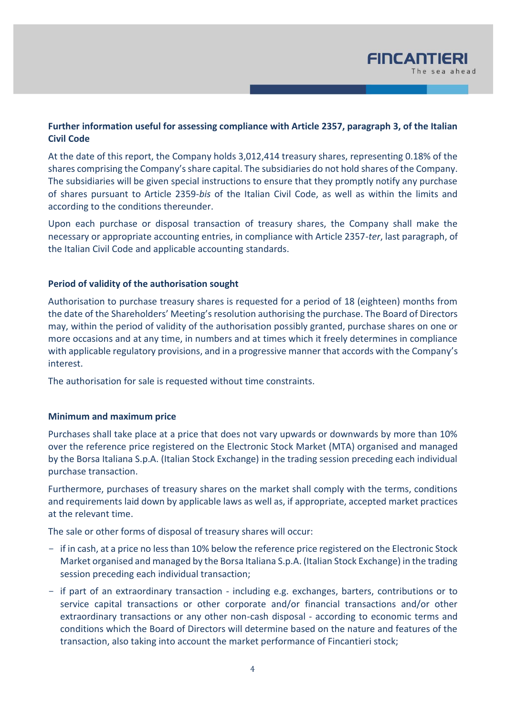

# **Further information useful for assessing compliance with Article 2357, paragraph 3, of the Italian Civil Code**

At the date of this report, the Company holds 3,012,414 treasury shares, representing 0.18% of the shares comprising the Company's share capital. The subsidiaries do not hold shares of the Company. The subsidiaries will be given special instructions to ensure that they promptly notify any purchase of shares pursuant to Article 2359-*bis* of the Italian Civil Code, as well as within the limits and according to the conditions thereunder.

Upon each purchase or disposal transaction of treasury shares, the Company shall make the necessary or appropriate accounting entries, in compliance with Article 2357-*ter*, last paragraph, of the Italian Civil Code and applicable accounting standards.

# **Period of validity of the authorisation sought**

Authorisation to purchase treasury shares is requested for a period of 18 (eighteen) months from the date of the Shareholders' Meeting's resolution authorising the purchase. The Board of Directors may, within the period of validity of the authorisation possibly granted, purchase shares on one or more occasions and at any time, in numbers and at times which it freely determines in compliance with applicable regulatory provisions, and in a progressive manner that accords with the Company's interest.

The authorisation for sale is requested without time constraints.

## **Minimum and maximum price**

Purchases shall take place at a price that does not vary upwards or downwards by more than 10% over the reference price registered on the Electronic Stock Market (MTA) organised and managed by the Borsa Italiana S.p.A. (Italian Stock Exchange) in the trading session preceding each individual purchase transaction.

Furthermore, purchases of treasury shares on the market shall comply with the terms, conditions and requirements laid down by applicable laws as well as, if appropriate, accepted market practices at the relevant time.

The sale or other forms of disposal of treasury shares will occur:

- if in cash, at a price no less than 10% below the reference price registered on the Electronic Stock Market organised and managed by the Borsa Italiana S.p.A. (Italian Stock Exchange) in the trading session preceding each individual transaction;
- if part of an extraordinary transaction including e.g. exchanges, barters, contributions or to service capital transactions or other corporate and/or financial transactions and/or other extraordinary transactions or any other non-cash disposal - according to economic terms and conditions which the Board of Directors will determine based on the nature and features of the transaction, also taking into account the market performance of Fincantieri stock;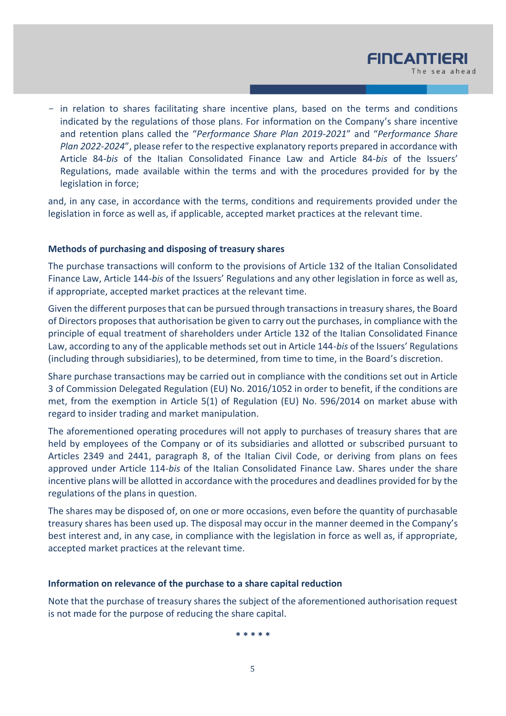

- in relation to shares facilitating share incentive plans, based on the terms and conditions indicated by the regulations of those plans. For information on the Company's share incentive and retention plans called the "*Performance Share Plan 2019-2021*" and "*Performance Share Plan 2022-2024*", please refer to the respective explanatory reports prepared in accordance with Article 84-*bis* of the Italian Consolidated Finance Law and Article 84-*bis* of the Issuers' Regulations, made available within the terms and with the procedures provided for by the legislation in force;

and, in any case, in accordance with the terms, conditions and requirements provided under the legislation in force as well as, if applicable, accepted market practices at the relevant time.

# **Methods of purchasing and disposing of treasury shares**

The purchase transactions will conform to the provisions of Article 132 of the Italian Consolidated Finance Law, Article 144-*bis* of the Issuers' Regulations and any other legislation in force as well as, if appropriate, accepted market practices at the relevant time.

Given the different purposes that can be pursued through transactions in treasury shares, the Board of Directors proposes that authorisation be given to carry out the purchases, in compliance with the principle of equal treatment of shareholders under Article 132 of the Italian Consolidated Finance Law, according to any of the applicable methods set out in Article 144-*bis* of the Issuers' Regulations (including through subsidiaries), to be determined, from time to time, in the Board's discretion.

Share purchase transactions may be carried out in compliance with the conditions set out in Article 3 of Commission Delegated Regulation (EU) No. 2016/1052 in order to benefit, if the conditions are met, from the exemption in Article 5(1) of Regulation (EU) No. 596/2014 on market abuse with regard to insider trading and market manipulation.

The aforementioned operating procedures will not apply to purchases of treasury shares that are held by employees of the Company or of its subsidiaries and allotted or subscribed pursuant to Articles 2349 and 2441, paragraph 8, of the Italian Civil Code, or deriving from plans on fees approved under Article 114-*bis* of the Italian Consolidated Finance Law. Shares under the share incentive plans will be allotted in accordance with the procedures and deadlines provided for by the regulations of the plans in question.

The shares may be disposed of, on one or more occasions, even before the quantity of purchasable treasury shares has been used up. The disposal may occur in the manner deemed in the Company's best interest and, in any case, in compliance with the legislation in force as well as, if appropriate, accepted market practices at the relevant time.

# **Information on relevance of the purchase to a share capital reduction**

Note that the purchase of treasury shares the subject of the aforementioned authorisation request is not made for the purpose of reducing the share capital.

**\* \* \* \* \***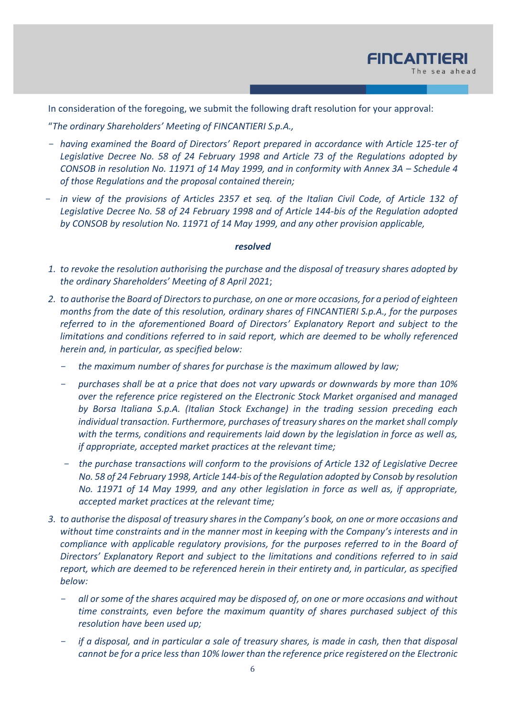In consideration of the foregoing, we submit the following draft resolution for your approval:

"*The ordinary Shareholders' Meeting of FINCANTIERI S.p.A.,* 

- *having examined the Board of Directors' Report prepared in accordance with Article 125-ter of Legislative Decree No. 58 of 24 February 1998 and Article 73 of the Regulations adopted by CONSOB in resolution No. 11971 of 14 May 1999, and in conformity with Annex 3A – Schedule 4 of those Regulations and the proposal contained therein;*
- *in view of the provisions of Articles 2357 et seq. of the Italian Civil Code, of Article 132 of Legislative Decree No. 58 of 24 February 1998 and of Article 144-bis of the Regulation adopted by CONSOB by resolution No. 11971 of 14 May 1999, and any other provision applicable,*

# *resolved*

- *1. to revoke the resolution authorising the purchase and the disposal of treasury shares adopted by the ordinary Shareholders' Meeting of 8 April 2021*;
- *2. to authorise the Board of Directors to purchase, on one or more occasions, for a period of eighteen months from the date of this resolution, ordinary shares of FINCANTIERI S.p.A., for the purposes referred to in the aforementioned Board of Directors' Explanatory Report and subject to the limitations and conditions referred to in said report, which are deemed to be wholly referenced herein and, in particular, as specified below:*
	- the maximum number of shares for purchase is the maximum allowed by law;
	- *purchases shall be at a price that does not vary upwards or downwards by more than 10% over the reference price registered on the Electronic Stock Market organised and managed by Borsa Italiana S.p.A. (Italian Stock Exchange) in the trading session preceding each individual transaction. Furthermore, purchases of treasury shares on the market shall comply with the terms, conditions and requirements laid down by the legislation in force as well as, if appropriate, accepted market practices at the relevant time;*
	- *the purchase transactions will conform to the provisions of Article 132 of Legislative Decree No. 58 of 24 February 1998, Article 144-bis of the Regulation adopted by Consob by resolution No. 11971 of 14 May 1999, and any other legislation in force as well as, if appropriate, accepted market practices at the relevant time;*
- *3. to authorise the disposal of treasury shares in the Company's book, on one or more occasions and without time constraints and in the manner most in keeping with the Company's interests and in compliance with applicable regulatory provisions, for the purposes referred to in the Board of Directors' Explanatory Report and subject to the limitations and conditions referred to in said report, which are deemed to be referenced herein in their entirety and, in particular, as specified below:*
	- *all or some of the shares acquired may be disposed of, on one or more occasions and without time constraints, even before the maximum quantity of shares purchased subject of this resolution have been used up;*
	- *if a disposal, and in particular a sale of treasury shares, is made in cash, then that disposal cannot be for a price less than 10% lower than the reference price registered on the Electronic*